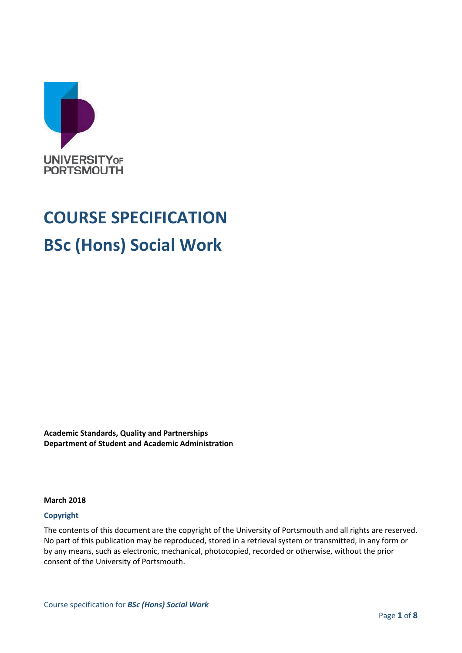

# **COURSE SPECIFICATION BSc (Hons) Social Work**

**Academic Standards, Quality and Partnerships Department of Student and Academic Administration**

#### **March 2018**

#### **Copyright**

The contents of this document are the copyright of the University of Portsmouth and all rights are reserved. No part of this publication may be reproduced, stored in a retrieval system or transmitted, in any form or by any means, such as electronic, mechanical, photocopied, recorded or otherwise, without the prior consent of the University of Portsmouth.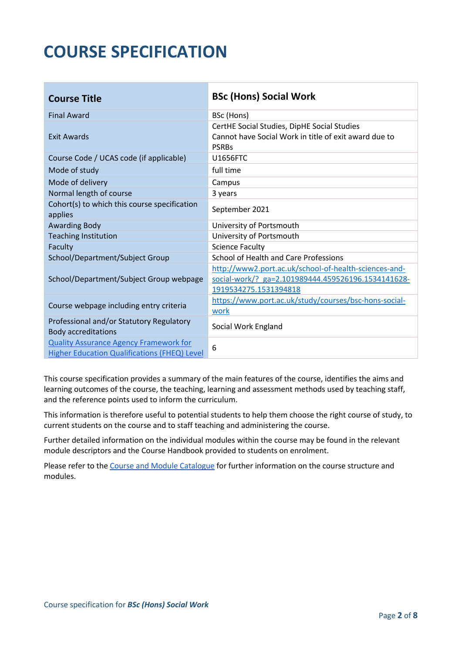## **COURSE SPECIFICATION**

| <b>Course Title</b>                                                                                  | <b>BSc (Hons) Social Work</b>                                                                                                        |
|------------------------------------------------------------------------------------------------------|--------------------------------------------------------------------------------------------------------------------------------------|
| <b>Final Award</b>                                                                                   | BSc (Hons)                                                                                                                           |
| <b>Exit Awards</b>                                                                                   | CertHE Social Studies, DipHE Social Studies<br>Cannot have Social Work in title of exit award due to<br><b>PSRBs</b>                 |
| Course Code / UCAS code (if applicable)                                                              | <b>U1656FTC</b>                                                                                                                      |
| Mode of study                                                                                        | full time                                                                                                                            |
| Mode of delivery                                                                                     | Campus                                                                                                                               |
| Normal length of course                                                                              | 3 years                                                                                                                              |
| Cohort(s) to which this course specification<br>applies                                              | September 2021                                                                                                                       |
| <b>Awarding Body</b>                                                                                 | University of Portsmouth                                                                                                             |
| <b>Teaching Institution</b>                                                                          | University of Portsmouth                                                                                                             |
| Faculty                                                                                              | <b>Science Faculty</b>                                                                                                               |
| School/Department/Subject Group                                                                      | School of Health and Care Professions                                                                                                |
| School/Department/Subject Group webpage                                                              | http://www2.port.ac.uk/school-of-health-sciences-and-<br>social-work/? ga=2.101989444.459526196.1534141628-<br>1919534275.1531394818 |
| Course webpage including entry criteria                                                              | https://www.port.ac.uk/study/courses/bsc-hons-social-<br>work                                                                        |
| Professional and/or Statutory Regulatory<br><b>Body accreditations</b>                               | Social Work England                                                                                                                  |
| <b>Quality Assurance Agency Framework for</b><br><b>Higher Education Qualifications (FHEQ) Level</b> | 6                                                                                                                                    |

This course specification provides a summary of the main features of the course, identifies the aims and learning outcomes of the course, the teaching, learning and assessment methods used by teaching staff, and the reference points used to inform the curriculum.

This information is therefore useful to potential students to help them choose the right course of study, to current students on the course and to staff teaching and administering the course.

Further detailed information on the individual modules within the course may be found in the relevant module descriptors and the Course Handbook provided to students on enrolment.

Please refer to the [Course and Module Catalogue](https://course-module-catalog.port.ac.uk/#/welcome) for further information on the course structure and modules.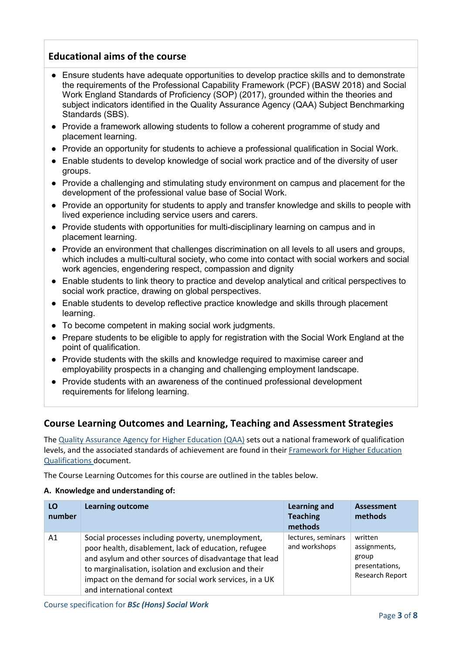## **Educational aims of the course**

- Ensure students have adequate opportunities to develop practice skills and to demonstrate the requirements of the Professional Capability Framework (PCF) (BASW 2018) and Social Work England Standards of Proficiency (SOP) (2017), grounded within the theories and subject indicators identified in the Quality Assurance Agency (QAA) Subject Benchmarking Standards (SBS).
- Provide a framework allowing students to follow a coherent programme of study and placement learning.
- Provide an opportunity for students to achieve a professional qualification in Social Work.
- Enable students to develop knowledge of social work practice and of the diversity of user groups.
- Provide a challenging and stimulating study environment on campus and placement for the development of the professional value base of Social Work.
- Provide an opportunity for students to apply and transfer knowledge and skills to people with lived experience including service users and carers.
- Provide students with opportunities for multi-disciplinary learning on campus and in placement learning.
- Provide an environment that challenges discrimination on all levels to all users and groups, which includes a multi-cultural society, who come into contact with social workers and social work agencies, engendering respect, compassion and dignity
- Enable students to link theory to practice and develop analytical and critical perspectives to social work practice, drawing on global perspectives.
- Enable students to develop reflective practice knowledge and skills through placement learning.
- To become competent in making social work judgments.
- Prepare students to be eligible to apply for registration with the Social Work England at the point of qualification.
- Provide students with the skills and knowledge required to maximise career and employability prospects in a changing and challenging employment landscape.
- Provide students with an awareness of the continued professional development requirements for lifelong learning.

## **Course Learning Outcomes and Learning, Teaching and Assessment Strategies**

The [Quality Assurance Agency for Higher Education \(QAA\)](http://www.qaa.ac.uk/en) sets out a national framework of qualification levels, and the associated standards of achievement are found in their [Framework for Higher Education](http://www.qaa.ac.uk/quality-code/the-existing-uk-quality-code/part-a-setting-and-maintaining-academic-standards)  [Qualifications](http://www.qaa.ac.uk/quality-code/the-existing-uk-quality-code/part-a-setting-and-maintaining-academic-standards) document.

The Course Learning Outcomes for this course are outlined in the tables below.

#### **A. Knowledge and understanding of:**

| LO<br>number | <b>Learning outcome</b>                                                                                                                                                                                                                                                                                             | <b>Learning and</b><br><b>Teaching</b><br>methods | <b>Assessment</b><br>methods                                          |
|--------------|---------------------------------------------------------------------------------------------------------------------------------------------------------------------------------------------------------------------------------------------------------------------------------------------------------------------|---------------------------------------------------|-----------------------------------------------------------------------|
| A1           | Social processes including poverty, unemployment,<br>poor health, disablement, lack of education, refugee<br>and asylum and other sources of disadvantage that lead<br>to marginalisation, isolation and exclusion and their<br>impact on the demand for social work services, in a UK<br>and international context | lectures, seminars<br>and workshops               | written<br>assignments,<br>group<br>presentations,<br>Research Report |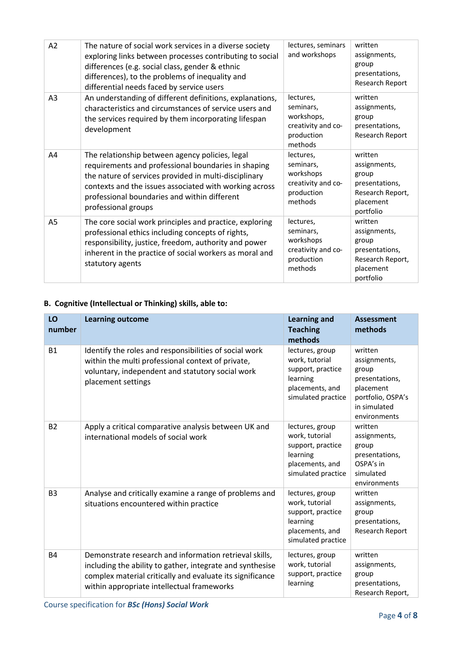| A2 | The nature of social work services in a diverse society<br>exploring links between processes contributing to social<br>differences (e.g. social class, gender & ethnic<br>differences), to the problems of inequality and<br>differential needs faced by service users                           | lectures, seminars<br>and workshops                                                 | written<br>assignments,<br>group<br>presentations,<br>Research Report                            |
|----|--------------------------------------------------------------------------------------------------------------------------------------------------------------------------------------------------------------------------------------------------------------------------------------------------|-------------------------------------------------------------------------------------|--------------------------------------------------------------------------------------------------|
| A3 | An understanding of different definitions, explanations,<br>characteristics and circumstances of service users and<br>the services required by them incorporating lifespan<br>development                                                                                                        | lectures,<br>seminars,<br>workshops,<br>creativity and co-<br>production<br>methods | written<br>assignments,<br>group<br>presentations,<br>Research Report                            |
| A4 | The relationship between agency policies, legal<br>requirements and professional boundaries in shaping<br>the nature of services provided in multi-disciplinary<br>contexts and the issues associated with working across<br>professional boundaries and within different<br>professional groups | lectures,<br>seminars,<br>workshops<br>creativity and co-<br>production<br>methods  | written<br>assignments,<br>group<br>presentations,<br>Research Report,<br>placement<br>portfolio |
| A5 | The core social work principles and practice, exploring<br>professional ethics including concepts of rights,<br>responsibility, justice, freedom, authority and power<br>inherent in the practice of social workers as moral and<br>statutory agents                                             | lectures,<br>seminars,<br>workshops<br>creativity and co-<br>production<br>methods  | written<br>assignments,<br>group<br>presentations,<br>Research Report,<br>placement<br>portfolio |

## **B. Cognitive (Intellectual or Thinking) skills, able to:**

| LO<br>number   | <b>Learning outcome</b>                                                                                                                                                                                                        | <b>Learning and</b><br><b>Teaching</b><br>methods                                                           | <b>Assessment</b><br>methods                                                                                         |
|----------------|--------------------------------------------------------------------------------------------------------------------------------------------------------------------------------------------------------------------------------|-------------------------------------------------------------------------------------------------------------|----------------------------------------------------------------------------------------------------------------------|
| <b>B1</b>      | Identify the roles and responsibilities of social work<br>within the multi professional context of private,<br>voluntary, independent and statutory social work<br>placement settings                                          | lectures, group<br>work, tutorial<br>support, practice<br>learning<br>placements, and<br>simulated practice | written<br>assignments,<br>group<br>presentations,<br>placement<br>portfolio, OSPA's<br>in simulated<br>environments |
| <b>B2</b>      | Apply a critical comparative analysis between UK and<br>international models of social work                                                                                                                                    | lectures, group<br>work, tutorial<br>support, practice<br>learning<br>placements, and<br>simulated practice | written<br>assignments,<br>group<br>presentations,<br>OSPA's in<br>simulated<br>environments                         |
| B <sub>3</sub> | Analyse and critically examine a range of problems and<br>situations encountered within practice                                                                                                                               | lectures, group<br>work, tutorial<br>support, practice<br>learning<br>placements, and<br>simulated practice | written<br>assignments,<br>group<br>presentations,<br>Research Report                                                |
| <b>B4</b>      | Demonstrate research and information retrieval skills,<br>including the ability to gather, integrate and synthesise<br>complex material critically and evaluate its significance<br>within appropriate intellectual frameworks | lectures, group<br>work, tutorial<br>support, practice<br>learning                                          | written<br>assignments,<br>group<br>presentations,<br>Research Report,                                               |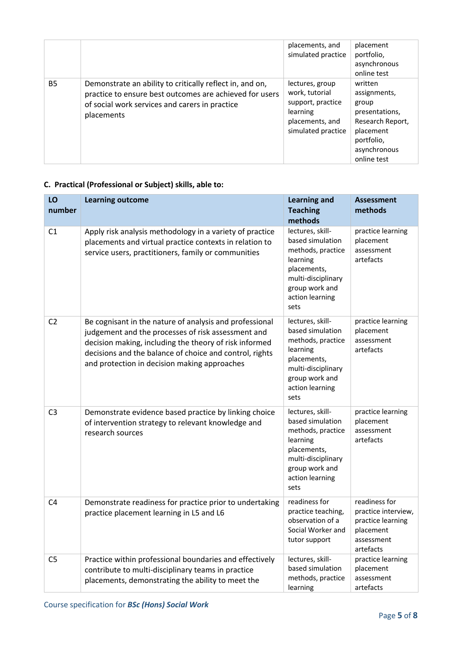|           |                                                                                                                                                                                     | placements, and<br>simulated practice                                                                       | placement<br>portfolio,<br>asynchronous<br>online test                                                                           |
|-----------|-------------------------------------------------------------------------------------------------------------------------------------------------------------------------------------|-------------------------------------------------------------------------------------------------------------|----------------------------------------------------------------------------------------------------------------------------------|
| <b>B5</b> | Demonstrate an ability to critically reflect in, and on,<br>practice to ensure best outcomes are achieved for users<br>of social work services and carers in practice<br>placements | lectures, group<br>work, tutorial<br>support, practice<br>learning<br>placements, and<br>simulated practice | written<br>assignments,<br>group<br>presentations,<br>Research Report,<br>placement<br>portfolio,<br>asynchronous<br>online test |

## **C. Practical (Professional or Subject) skills, able to:**

| LO<br>number   | <b>Learning outcome</b>                                                                                                                                                                                                                                                            | <b>Learning and</b><br><b>Teaching</b><br>methods                                                                                                       | <b>Assessment</b><br>methods                                                                      |
|----------------|------------------------------------------------------------------------------------------------------------------------------------------------------------------------------------------------------------------------------------------------------------------------------------|---------------------------------------------------------------------------------------------------------------------------------------------------------|---------------------------------------------------------------------------------------------------|
| C1             | Apply risk analysis methodology in a variety of practice<br>placements and virtual practice contexts in relation to<br>service users, practitioners, family or communities                                                                                                         | lectures, skill-<br>based simulation<br>methods, practice<br>learning<br>placements,<br>multi-disciplinary<br>group work and<br>action learning<br>sets | practice learning<br>placement<br>assessment<br>artefacts                                         |
| C <sub>2</sub> | Be cognisant in the nature of analysis and professional<br>judgement and the processes of risk assessment and<br>decision making, including the theory of risk informed<br>decisions and the balance of choice and control, rights<br>and protection in decision making approaches | lectures, skill-<br>based simulation<br>methods, practice<br>learning<br>placements,<br>multi-disciplinary<br>group work and<br>action learning<br>sets | practice learning<br>placement<br>assessment<br>artefacts                                         |
| C <sub>3</sub> | Demonstrate evidence based practice by linking choice<br>of intervention strategy to relevant knowledge and<br>research sources                                                                                                                                                    | lectures, skill-<br>based simulation<br>methods, practice<br>learning<br>placements,<br>multi-disciplinary<br>group work and<br>action learning<br>sets | practice learning<br>placement<br>assessment<br>artefacts                                         |
| C4             | Demonstrate readiness for practice prior to undertaking<br>practice placement learning in L5 and L6                                                                                                                                                                                | readiness for<br>practice teaching,<br>observation of a<br>Social Worker and<br>tutor support                                                           | readiness for<br>practice interview,<br>practice learning<br>placement<br>assessment<br>artefacts |
| C <sub>5</sub> | Practice within professional boundaries and effectively<br>contribute to multi-disciplinary teams in practice<br>placements, demonstrating the ability to meet the                                                                                                                 | lectures, skill-<br>based simulation<br>methods, practice<br>learning                                                                                   | practice learning<br>placement<br>assessment<br>artefacts                                         |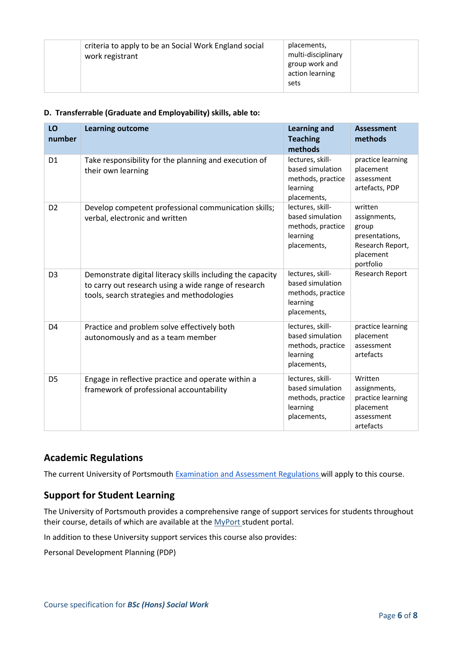| criteria to apply to be an Social Work England social<br>work registrant | placements,<br>multi-disciplinary<br>group work and<br>action learning<br>sets |  |
|--------------------------------------------------------------------------|--------------------------------------------------------------------------------|--|
|--------------------------------------------------------------------------|--------------------------------------------------------------------------------|--|

#### **D. Transferrable (Graduate and Employability) skills, able to:**

| LO<br>number   | <b>Learning outcome</b>                                                                                                                                          | <b>Learning and</b><br><b>Teaching</b><br>methods                                    | <b>Assessment</b><br>methods                                                                     |
|----------------|------------------------------------------------------------------------------------------------------------------------------------------------------------------|--------------------------------------------------------------------------------------|--------------------------------------------------------------------------------------------------|
| D <sub>1</sub> | Take responsibility for the planning and execution of<br>their own learning                                                                                      | lectures, skill-<br>based simulation<br>methods, practice<br>learning<br>placements, | practice learning<br>placement<br>assessment<br>artefacts, PDP                                   |
| D <sub>2</sub> | Develop competent professional communication skills;<br>verbal, electronic and written                                                                           | lectures, skill-<br>based simulation<br>methods, practice<br>learning<br>placements, | written<br>assignments,<br>group<br>presentations,<br>Research Report,<br>placement<br>portfolio |
| D <sub>3</sub> | Demonstrate digital literacy skills including the capacity<br>to carry out research using a wide range of research<br>tools, search strategies and methodologies | lectures, skill-<br>based simulation<br>methods, practice<br>learning<br>placements, | Research Report                                                                                  |
| D <sub>4</sub> | Practice and problem solve effectively both<br>autonomously and as a team member                                                                                 | lectures, skill-<br>based simulation<br>methods, practice<br>learning<br>placements, | practice learning<br>placement<br>assessment<br>artefacts                                        |
| D <sub>5</sub> | Engage in reflective practice and operate within a<br>framework of professional accountability                                                                   | lectures, skill-<br>based simulation<br>methods, practice<br>learning<br>placements, | Written<br>assignments,<br>practice learning<br>placement<br>assessment<br>artefacts             |

## **Academic Regulations**

The current University of Portsmouth [Examination and Assessment Regulations](https://policies.docstore.port.ac.uk/policy-107.pdf) will apply to this course.

## **Support for Student Learning**

The University of Portsmouth provides a comprehensive range of support services for students throughout their course, details of which are available at the [MyPort](http://myport.ac.uk/) student portal.

In addition to these University support services this course also provides:

Personal Development Planning (PDP)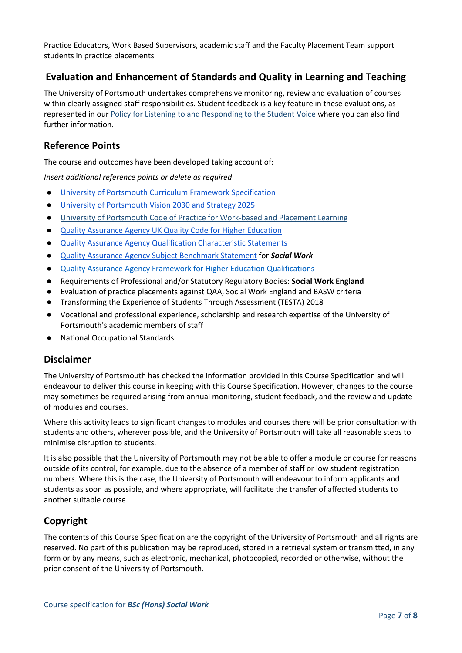Practice Educators, Work Based Supervisors, academic staff and the Faculty Placement Team support students in practice placements

## **Evaluation and Enhancement of Standards and Quality in Learning and Teaching**

The University of Portsmouth undertakes comprehensive monitoring, review and evaluation of courses within clearly assigned staff responsibilities. Student feedback is a key feature in these evaluations, as represented in our [Policy for Listening to and Responding to the Student Voice](http://policies.docstore.port.ac.uk/policy-069.pdf) where you can also find further information.

## **Reference Points**

The course and outcomes have been developed taking account of:

*Insert additional reference points or delete as required*

- [University of Portsmouth Curriculum Framework Specification](http://policies.docstore.port.ac.uk/policy-217.pdf)
- [University of Portsmouth Vision 2030 and Strategy 2025](https://www.port.ac.uk/about-us/our-ambition/our-strategy)
- [University of Portsmouth Code of Practice for Work-based and Placement Learning](http://policies.docstore.port.ac.uk/policy-151.pdf)
- [Quality Assurance Agency UK Quality Code for Higher Education](https://www.qaa.ac.uk/quality-code)
- [Quality Assurance Agency Qualification Characteristic Statements](https://www.qaa.ac.uk/quality-code/characteristics-statements)
- [Quality Assurance Agency Subject Benchmark Statement](https://www.qaa.ac.uk/quality-code/subject-benchmark-statements) for *Social Work*
- [Quality Assurance Agency Framework for Higher Education Qualifications](http://www.qaa.ac.uk/quality-code/the-existing-uk-quality-code/part-a-setting-and-maintaining-academic-standards)
- Requirements of Professional and/or Statutory Regulatory Bodies: **Social Work England**
- Evaluation of practice placements against QAA, Social Work England and BASW criteria
- Transforming the Experience of Students Through Assessment (TESTA) 2018
- Vocational and professional experience, scholarship and research expertise of the University of Portsmouth's academic members of staff
- National Occupational Standards

### **Disclaimer**

The University of Portsmouth has checked the information provided in this Course Specification and will endeavour to deliver this course in keeping with this Course Specification. However, changes to the course may sometimes be required arising from annual monitoring, student feedback, and the review and update of modules and courses.

Where this activity leads to significant changes to modules and courses there will be prior consultation with students and others, wherever possible, and the University of Portsmouth will take all reasonable steps to minimise disruption to students.

It is also possible that the University of Portsmouth may not be able to offer a module or course for reasons outside of its control, for example, due to the absence of a member of staff or low student registration numbers. Where this is the case, the University of Portsmouth will endeavour to inform applicants and students as soon as possible, and where appropriate, will facilitate the transfer of affected students to another suitable course.

## **Copyright**

The contents of this Course Specification are the copyright of the University of Portsmouth and all rights are reserved. No part of this publication may be reproduced, stored in a retrieval system or transmitted, in any form or by any means, such as electronic, mechanical, photocopied, recorded or otherwise, without the prior consent of the University of Portsmouth.